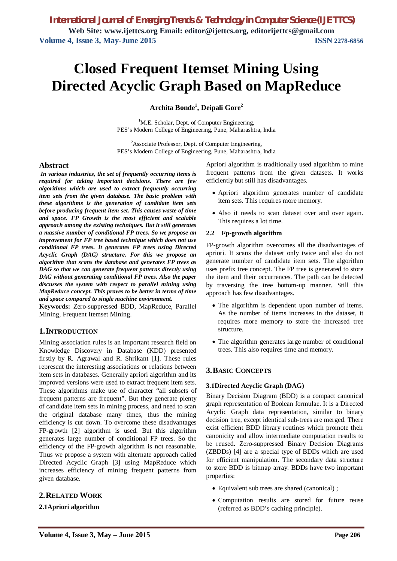# **Closed Frequent Itemset Mining Using Directed Acyclic Graph Based on MapReduce**

**Archita Bonde<sup>1</sup> , Deipali Gore<sup>2</sup>**

<sup>1</sup>M.E. Scholar, Dept. of Computer Engineering, PES's Modern College of Engineering, Pune, Maharashtra, India

<sup>2</sup>Associate Professor, Dept. of Computer Engineering, PES's Modern College of Engineering, Pune, Maharashtra, India

#### **Abstract**

*In various industries, the set of frequently occurring items is required for taking important decisions. There are few algorithms which are used to extract frequently occurring item sets from the given database. The basic problem with these algorithms is the generation of candidate item sets before producing frequent item set. This causes waste of time and space. FP Growth is the most efficient and scalable approach among the existing techniques. But it still generates a massive number of conditional FP trees. So we propose an improvement for FP tree based technique which does not use conditional FP trees. It generates FP trees using Directed Acyclic Graph (DAG) structure. For this we propose an algorithm that scans the database and generates FP trees as DAG so that we can generate frequent patterns directly using DAG without generating conditional FP trees. Also the paper discusses the system with respect to parallel mining using MapReduce concept. This proves to be better in terms of time and space compared to single machine environment.*

**Keywords:** Zero-suppressed BDD, MapReduce, Parallel Mining, Frequent Itemset Mining.

# **1.INTRODUCTION**

Mining association rules is an important research field on Knowledge Discovery in Database (KDD) presented firstly by R. Agrawal and R. Shrikant [1]. These rules represent the interesting associations or relations between item sets in databases. Generally apriori algorithm and its improved versions were used to extract frequent item sets. These algorithms make use of character "all subsets of frequent patterns are frequent". But they generate plenty of candidate item sets in mining process, and need to scan the original database many times, thus the mining efficiency is cut down. To overcome these disadvantages FP-growth [2] algorithm is used. But this algorithm generates large number of conditional FP trees. So the efficiency of the FP-growth algorithm is not reasonable. Thus we propose a system with alternate approach called Directed Acyclic Graph [3] using MapReduce which increases efficiency of mining frequent patterns from given database.

# **2.RELATED WORK**

**2.1Apriori algorithm**

Apriori algorithm is traditionally used algorithm to mine frequent patterns from the given datasets. It works efficiently but still has disadvantages.

- Apriori algorithm generates number of candidate item sets. This requires more memory.
- Also it needs to scan dataset over and over again. This requires a lot time.

#### **2.2 Fp-growth algorithm**

FP-growth algorithm overcomes all the disadvantages of apriori. It scans the dataset only twice and also do not generate number of candidate item sets. The algorithm uses prefix tree concept. The FP tree is generated to store the item and their occurrences. The path can be detected by traversing the tree bottom-up manner. Still this approach has few disadvantages.

- The algorithm is dependent upon number of items. As the number of items increases in the dataset, it requires more memory to store the increased tree structure.
- The algorithm generates large number of conditional trees. This also requires time and memory.

# **3.BASIC CONCEPTS**

#### **3.1Directed Acyclic Graph (DAG)**

Binary Decision Diagram (BDD) is a compact canonical graph representation of Boolean formulae. It is a Directed Acyclic Graph data representation, similar to binary decision tree, except identical sub-trees are merged. There exist efficient BDD library routines which promote their canonicity and allow intermediate computation results to be reused. Zero-suppressed Binary Decision Diagrams (ZBDDs) [4] are a special type of BDDs which are used for efficient manipulation. The secondary data structure to store BDD is bitmap array. BDDs have two important properties:

- Equivalent sub trees are shared (canonical) ;
- Computation results are stored for future reuse (referred as BDD's caching principle).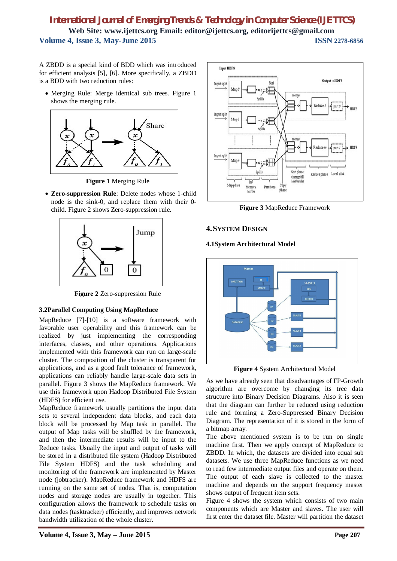A ZBDD is a special kind of BDD which was introduced for efficient analysis [5], [6]. More specifically, a ZBDD is a BDD with two reduction rules:

 Merging Rule: Merge identical sub trees. Figure 1 shows the merging rule.



**Figure 1** Merging Rule

 **Zero-suppression Rule**: Delete nodes whose 1-child node is the sink-0, and replace them with their 0 child. Figure 2 shows Zero-suppression rule.



**Figure 2** Zero-suppression Rule

# **3.2Parallel Computing Using MapReduce**

MapReduce [7]-[10] is a software framework with favorable user operability and this framework can be realized by just implementing the corresponding interfaces, classes, and other operations. Applications implemented with this framework can run on large-scale cluster. The composition of the cluster is transparent for applications, and as a good fault tolerance of framework, applications can reliably handle large-scale data sets in parallel. Figure 3 shows the MapReduce framework. We use this framework upon Hadoop Distributed File System (HDFS) for efficient use.

MapReduce framework usually partitions the input data sets to several independent data blocks, and each data block will be processed by Map task in parallel. The output of Map tasks will be shuffled by the framework, and then the intermediate results will be input to the Reduce tasks. Usually the input and output of tasks will be stored in a distributed file system (Hadoop Distributed File System HDFS) and the task scheduling and monitoring of the framework are implemented by Master node (jobtracker). MapReduce framework and HDFS are running on the same set of nodes. That is, computation nodes and storage nodes are usually in together. This configuration allows the framework to schedule tasks on data nodes (tasktracker) efficiently, and improves network bandwidth utilization of the whole cluster.



**Figure 3** MapReduce Framework

# **4.SYSTEM DESIGN**

#### **4.1System Architectural Model**



**Figure 4** System Architectural Model

As we have already seen that disadvantages of FP-Growth algorithm are overcome by changing its tree data structure into Binary Decision Diagrams. Also it is seen that the diagram can further be reduced using reduction rule and forming a Zero-Suppressed Binary Decision Diagram. The representation of it is stored in the form of a bitmap array.

The above mentioned system is to be run on single machine first. Then we apply concept of MapReduce to ZBDD. In which, the datasets are divided into equal sub datasets. We use three MapReduce functions as we need to read few intermediate output files and operate on them. The output of each slave is collected to the master machine and depends on the support frequency master shows output of frequent item sets.

Figure 4 shows the system which consists of two main components which are Master and slaves. The user will first enter the dataset file. Master will partition the dataset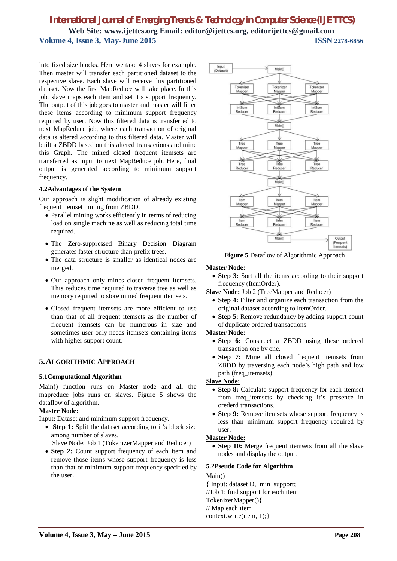into fixed size blocks. Here we take 4 slaves for example. Then master will transfer each partitioned dataset to the respective slave. Each slave will receive this partitioned dataset. Now the first MapReduce will take place. In this job, slave maps each item and set it's support frequency. The output of this job goes to master and master will filter these items according to minimum support frequency required by user. Now this filtered data is transferred to next MapReduce job, where each transaction of original data is altered according to this filtered data. Master will built a ZBDD based on this altered transactions and mine this Graph. The mined closed frequent itemsets are transferred as input to next MapReduce job. Here, final output is generated according to minimum support frequency.

#### **4.2Advantages of the System**

Our approach is slight modification of already existing frequent itemset mining from ZBDD.

- Parallel mining works efficiently in terms of reducing load on single machine as well as reducing total time required.
- The Zero-suppressed Binary Decision Diagram generates faster structure than prefix trees.
- The data structure is smaller as identical nodes are merged.
- Our approach only mines closed frequent itemsets. This reduces time required to traverse tree as well as memory required to store mined frequent itemsets.
- Closed frequent itemsets are more efficient to use than that of all frequent itemsets as the number of frequent itemsets can be numerous in size and sometimes user only needs itemsets containing items with higher support count.

# **5.ALGORITHMIC APPROACH**

#### **5.1Computational Algorithm**

Main() function runs on Master node and all the mapreduce jobs runs on slaves. Figure 5 shows the dataflow of algorithm.

#### **Master Node:**

Input: Dataset and minimum support frequency.

- **Step 1:** Split the dataset according to it's block size among number of slaves.
	- Slave Node: Job 1 (TokenizerMapper and Reducer)
- **Step 2:** Count support frequency of each item and remove those items whose support frequency is less than that of minimum support frequency specified by the user.



**Figure 5** Dataflow of Algorithmic Approach

#### **Master Node:**

• Step 3: Sort all the items according to their support frequency (ItemOrder).

**Slave Node:** Job 2 (TreeMapper and Reducer)

- **Step 4:** Filter and organize each transaction from the original dataset according to ItemOrder.
- **Step 5:** Remove redundancy by adding support count of duplicate ordered transactions.

#### **Master Node:**

- **Step 6:** Construct a ZBDD using these ordered transaction one by one.
- Step 7: Mine all closed frequent itemsets from ZBDD by traversing each node's high path and low path (freq\_itemsets).

#### **Slave Node:**

- Step 8: Calculate support frequency for each itemset from freq\_itemsets by checking it's presence in orederd transactions.
- **Step 9:** Remove itemsets whose support frequency is less than minimum support frequency required by user.

#### **Master Node:**

 **Step 10:** Merge frequent itemsets from all the slave nodes and display the output.

#### **5.2Pseudo Code for Algorithm**

#### Main()

{ Input: dataset D, min\_support;

//Job 1: find support for each item

- TokenizerMapper(){
- // Map each item
- context.write(item, 1);}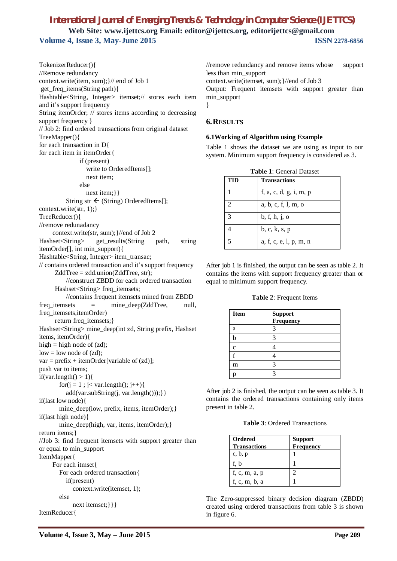TokenizerReducer(){ //Remove redundancy context.write(item, sum);}// end of Job 1 get\_freq\_items(String path){ Hashtable<String, Integer> itemset;// stores each item and it's support frequency String itemOrder; // stores items according to decreasing support frequency } // Job 2: find ordered transactions from original dataset TreeMapper(){ for each transaction in D{ for each item in itemOrder{ if (present) write to OrderedItems[]; next item; else next item; } } String str  $\leftarrow$  (String) OrderedItems[]; context.write(str, 1);} TreeReducer(){ //remove redunadancy context.write(str, sum);}//end of Job 2 Hashset<String> get\_results(String path, string itemOrder[], int min\_support){ Hashtable<String, Integer> item\_transac; // contains ordered transaction and it's support frequency ZddTree = zdd.union(ZddTree, str); //construct ZBDD for each ordered transaction Hashset<String>freq\_itemsets; //contains frequent itemsets mined from ZBDD freq\_itemsets = mine\_deep(ZddTree, null, freq\_itemsets,itemOrder) return freq\_itemsets;} Hashset<String> mine\_deep(int zd, String prefix, Hashset items, itemOrder){ high = high node of  $(zd)$ ;  $low = low$  node of  $(zd)$ ;  $var = prefix + itemOrder[variable of (zd)];$ push var to items; if(var.length()  $> 1$ ){ for( $j = 1$ ;  $j < \text{var.length}$ );  $j++)$ { add(var.subString(j, var.length()));}} if(last low node){ mine\_deep(low, prefix, items, itemOrder); } if(last high node){ mine\_deep(high, var, items, itemOrder);} return items;} //Job 3: find frequent itemsets with support greater than or equal to min\_support ItemMapper{ For each itmset{ For each ordered transaction{ if(present) context.write(itemset, 1); else next itemset; } } } ItemReducer{

//remove redundancy and remove items whose support less than min\_support context.write(itemset, sum);}//end of Job 3 Output: Frequent itemsets with support greater than min\_support }

#### **6.RESULTS**

#### **6.1Working of Algorithm using Example**

Table 1 shows the dataset we are using as input to our system. Minimum support frequency is considered as 3.

| <b>Table 1:</b> General Dataset |                        |  |  |  |
|---------------------------------|------------------------|--|--|--|
| TID                             | <b>Transactions</b>    |  |  |  |
|                                 | f, a, c, d, g, i, m, p |  |  |  |
| $\overline{2}$                  | a, b, c, f, l, m, o    |  |  |  |
| $\mathcal{E}$                   | b, f, h, j, o          |  |  |  |
|                                 | b, c, k, s, p          |  |  |  |
| $\tilde{\phantom{a}}$           | a, f, c, e, l, p, m, n |  |  |  |

After job 1 is finished, the output can be seen as table 2. It contains the items with support frequency greater than or equal to minimum support frequency.

#### **Table 2**: Frequent Items

| <b>Item</b> | ${\large \bf Support}$<br>Frequency |
|-------------|-------------------------------------|
| a           |                                     |
|             |                                     |
| c           |                                     |
|             |                                     |
| m           | 3                                   |
|             | 2                                   |

After job 2 is finished, the output can be seen as table 3. It contains the ordered transactions containing only items present in table 2.

| <b>Ordered</b><br><b>Transactions</b> | <b>Support</b><br><b>Frequency</b> |
|---------------------------------------|------------------------------------|
| c, b, p                               |                                    |
| f. b                                  |                                    |
| f, c, m, a, p                         |                                    |
| f, c, m, b, a                         |                                    |

The Zero-suppressed binary decision diagram (ZBDD) created using ordered transactions from table 3 is shown in figure 6.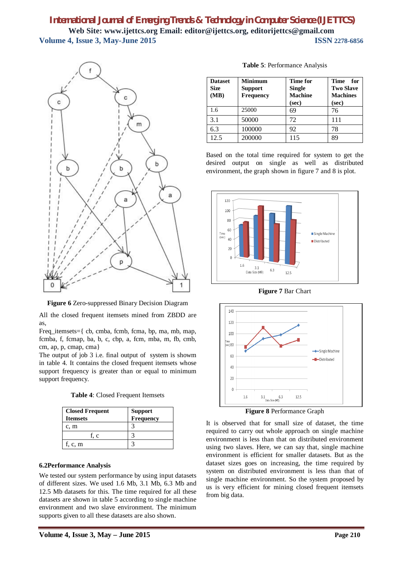

**Figure 6** Zero-suppressed Binary Decision Diagram

All the closed frequent itemsets mined from ZBDD are as,

Freq\_itemsets={ cb, cmba, fcmb, fcma, bp, ma, mb, map, fcmba, f, fcmap, ba, b, c, cbp, a, fcm, mba, m, fb, cmb, cm, ap, p, cmap, cma}

The output of job 3 i.e. final output of system is showm in table 4. It contains the closed frequent itemsets whose support frequency is greater than or equal to minimum support frequency.

**Table 4**: Closed Frequent Itemsets

| <b>Closed Frequent</b><br><b>Itemsets</b> | <b>Support</b><br>Frequency |  |
|-------------------------------------------|-----------------------------|--|
| c, m                                      |                             |  |
| f. c                                      |                             |  |
| f, c, m                                   |                             |  |

#### **6.2Performance Analysis**

We tested our system performance by using input datasets of different sizes. We used 1.6 Mb, 3.1 Mb, 6.3 Mb and 12.5 Mb datasets for this. The time required for all these datasets are shown in table 5 according to single machine environment and two slave environment. The minimum supports given to all these datasets are also shown.

| <b>Dataset</b><br><b>Size</b><br>(MB) | <b>Minimum</b><br><b>Support</b><br>Frequency | <b>Time for</b><br><b>Single</b><br><b>Machine</b><br>(sec) | <b>Time</b><br>for<br><b>Two Slave</b><br><b>Machines</b><br>(sec) |
|---------------------------------------|-----------------------------------------------|-------------------------------------------------------------|--------------------------------------------------------------------|
| 1.6                                   | 25000                                         | 69                                                          | 76                                                                 |
| 3.1                                   | 50000                                         | 72                                                          | 111                                                                |
| 6.3                                   | 100000                                        | 92                                                          | 78                                                                 |
| 12.5                                  | 200000                                        | 115                                                         | 89                                                                 |

**Table 5**: Performance Analysis

Based on the total time required for system to get the desired output on single as well as distributed environment, the graph shown in figure 7 and 8 is plot.



**Figure 7** Bar Chart



**Figure 8** Performance Graph

It is observed that for small size of dataset, the time required to carry out whole approach on single machine environment is less than that on distributed environment using two slaves. Here, we can say that, single machine environment is efficient for smaller datasets. But as the dataset sizes goes on increasing, the time required by system on distributed environment is less than that of single machine environment. So the system proposed by us is very efficient for mining closed frequent itemsets from big data.